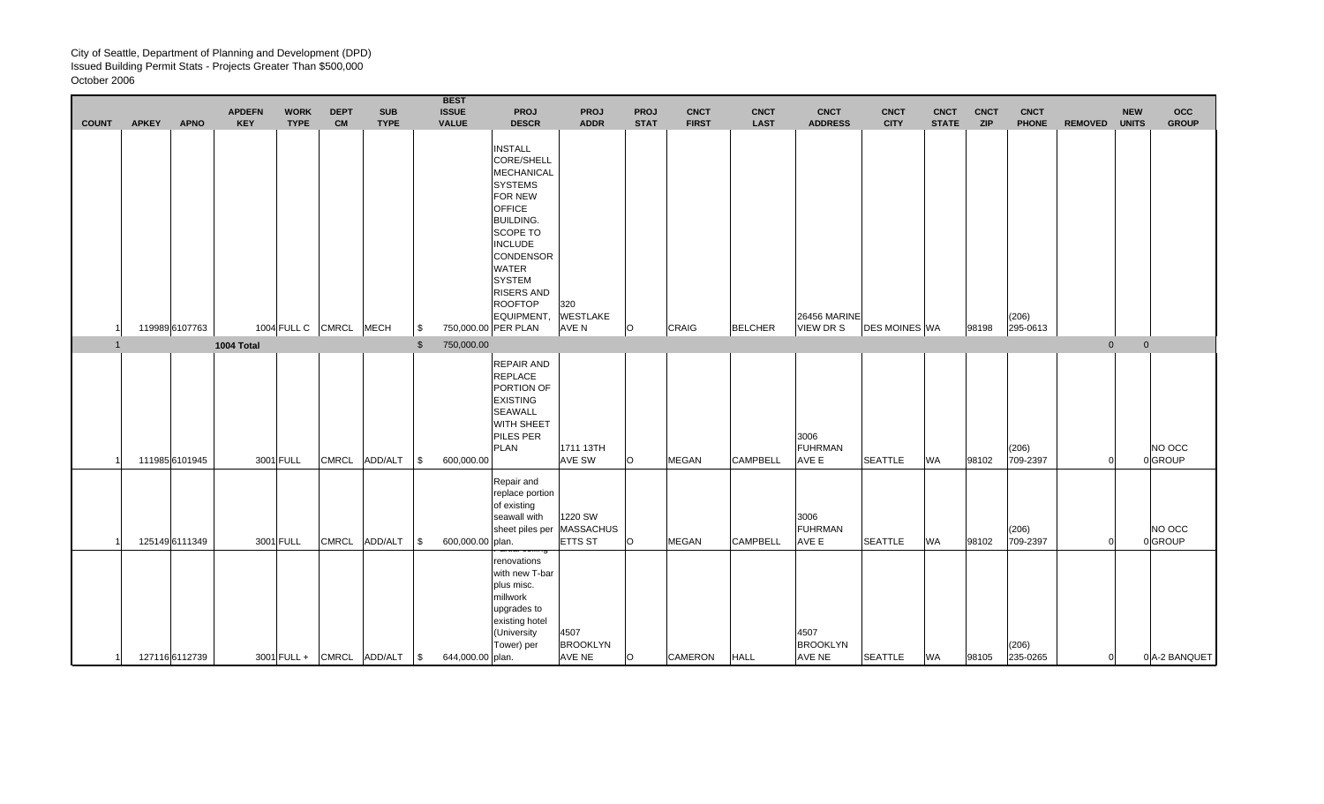|                |              |                | <b>APDEFN</b> | <b>WORK</b> | <b>DEPT</b>       | <b>SUB</b>                |              | <b>BEST</b><br><b>ISSUE</b> | <b>PROJ</b>                                                                                                                                                                                                                                                                                             | <b>PROJ</b>                                              | <b>PROJ</b> | <b>CNCT</b>  | <b>CNCT</b>     | <b>CNCT</b>                             | <b>CNCT</b>          | <b>CNCT</b>  | <b>CNCT</b> | <b>CNCT</b>       |                | <b>NEW</b>   | occ               |
|----------------|--------------|----------------|---------------|-------------|-------------------|---------------------------|--------------|-----------------------------|---------------------------------------------------------------------------------------------------------------------------------------------------------------------------------------------------------------------------------------------------------------------------------------------------------|----------------------------------------------------------|-------------|--------------|-----------------|-----------------------------------------|----------------------|--------------|-------------|-------------------|----------------|--------------|-------------------|
| <b>COUNT</b>   | <b>APKEY</b> | <b>APNO</b>    | <b>KEY</b>    | <b>TYPE</b> | <b>CM</b>         | <b>TYPE</b>               |              | <b>VALUE</b>                | <b>DESCR</b>                                                                                                                                                                                                                                                                                            | <b>ADDR</b>                                              | <b>STAT</b> | <b>FIRST</b> | <b>LAST</b>     | <b>ADDRESS</b>                          | <b>CITY</b>          | <b>STATE</b> | <b>ZIP</b>  | <b>PHONE</b>      | <b>REMOVED</b> | <b>UNITS</b> | <b>GROUP</b>      |
|                |              | 119989 6107763 |               |             | 1004 FULL C CMRCL | <b>MECH</b>               | -\$          |                             | <b>INSTALL</b><br><b>CORE/SHELL</b><br><b>MECHANICAL</b><br><b>SYSTEMS</b><br><b>FOR NEW</b><br><b>OFFICE</b><br><b>BUILDING.</b><br><b>SCOPE TO</b><br><b>INCLUDE</b><br><b>CONDENSOR</b><br><b>WATER</b><br><b>SYSTEM</b><br><b>RISERS AND</b><br><b>ROOFTOP</b><br>EQUIPMENT,<br>750,000.00 PER PLAN | 320<br><b>WESTLAKE</b><br>AVE N                          | $\circ$     | CRAIG        | <b>BELCHER</b>  | <b>26456 MARINE</b><br><b>VIEW DR S</b> | <b>DES MOINES WA</b> |              | 98198       | (206)<br>295-0613 |                |              |                   |
| $\overline{1}$ |              |                | 1004 Total    |             |                   |                           | $\mathbb{S}$ | 750,000.00                  |                                                                                                                                                                                                                                                                                                         |                                                          |             |              |                 |                                         |                      |              |             |                   | $\mathbf{0}$   | $\mathbf{0}$ |                   |
|                |              | 111985 6101945 |               | 3001 FULL   | <b>CMRCL</b>      | <b>ADD/ALT</b>            | \$           | 600,000.00                  | REPAIR AND<br><b>REPLACE</b><br>PORTION OF<br><b>EXISTING</b><br><b>SEAWALL</b><br>WITH SHEET<br>PILES PER<br>PLAN                                                                                                                                                                                      | 1711 13TH<br><b>AVE SW</b>                               | $\circ$     | <b>MEGAN</b> | <b>CAMPBELL</b> | 3006<br><b>FUHRMAN</b><br>AVE E         | <b>SEATTLE</b>       | <b>WA</b>    | 98102       | (206)<br>709-2397 |                |              | NO OCC<br>0GROUP  |
|                |              | 125149 6111349 |               | 3001 FULL   | <b>CMRCL</b>      | ADD/ALT                   | $\sqrt{3}$   | 600,000.00 plan.            | Repair and<br>replace portion<br>of existing<br>seawall with                                                                                                                                                                                                                                            | 1220 SW<br>sheet piles per   MASSACHUS<br><b>ETTS ST</b> | $\circ$     | <b>MEGAN</b> | <b>CAMPBELL</b> | 3006<br><b>FUHRMAN</b><br>AVE E         | <b>SEATTLE</b>       | <b>WA</b>    | 98102       | (206)<br>709-2397 |                |              | NO OCC<br>0 GROUP |
| -11            |              | 127116 6112739 |               |             |                   | 3001 FULL + CMRCL ADD/ALT | $\sqrt{S}$   | 644,000.00 plan.            | annar cennny<br>renovations<br>with new T-bar<br>plus misc.<br>millwork<br>upgrades to<br>existing hotel<br>(University<br>Tower) per                                                                                                                                                                   | 4507<br><b>BROOKLYN</b><br>AVE NE                        | $\circ$     | CAMERON      | <b>HALL</b>     | 4507<br><b>BROOKLYN</b><br>AVE NE       | <b>SEATTLE</b>       | <b>WA</b>    | 98105       | (206)<br>235-0265 |                | 0            | 0 A-2 BANQUET     |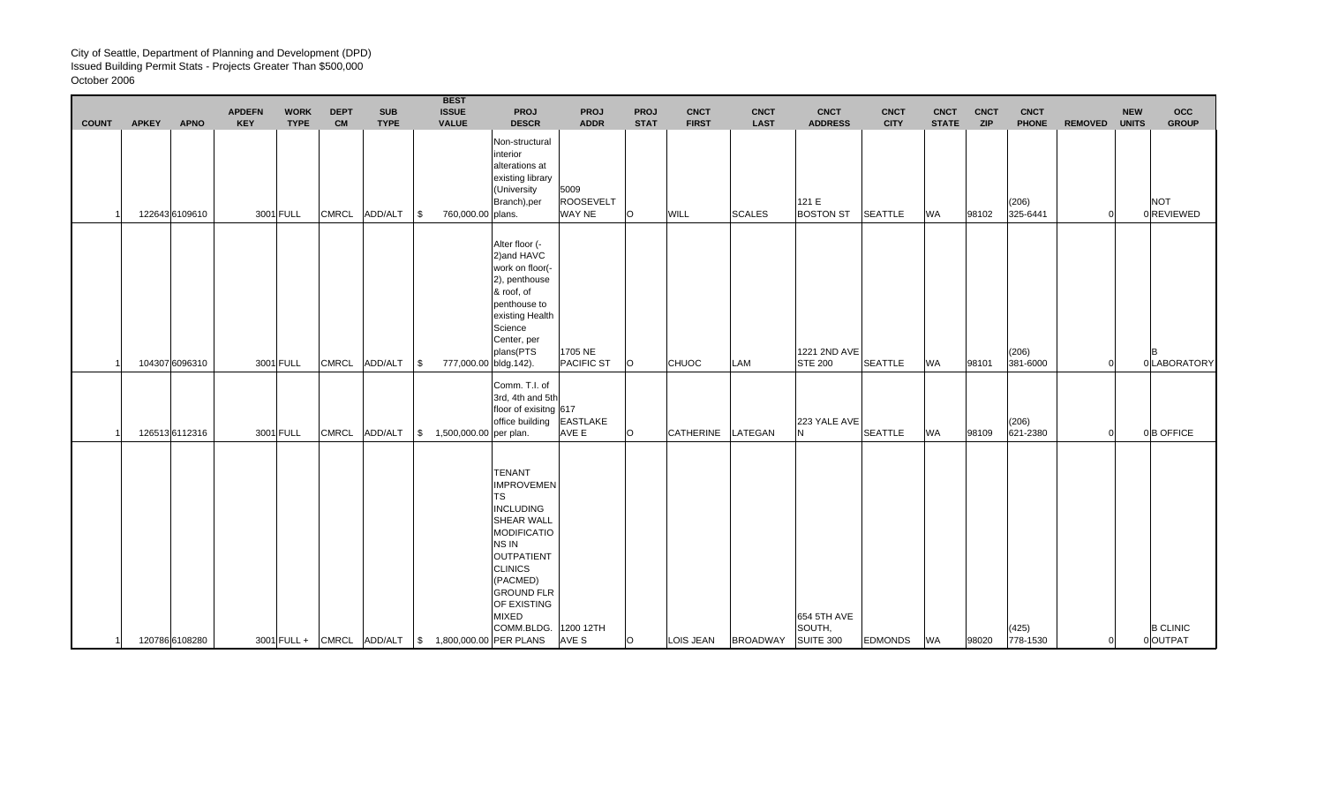|              |              |                               | <b>APDEFN</b> | <b>WORK</b>              | <b>DEPT</b>               | <b>SUB</b>             |           | <b>BEST</b><br><b>ISSUE</b>                           | <b>PROJ</b>                                                                                                                                                                                                                                     | <b>PROJ</b>                                              | <b>PROJ</b>      | <b>CNCT</b>          | <b>CNCT</b>                  | <b>CNCT</b>                                 | <b>CNCT</b>                   | <b>CNCT</b>               | <b>CNCT</b>         | <b>CNCT</b>                       |                | <b>NEW</b>     | <b>OCC</b>                               |
|--------------|--------------|-------------------------------|---------------|--------------------------|---------------------------|------------------------|-----------|-------------------------------------------------------|-------------------------------------------------------------------------------------------------------------------------------------------------------------------------------------------------------------------------------------------------|----------------------------------------------------------|------------------|----------------------|------------------------------|---------------------------------------------|-------------------------------|---------------------------|---------------------|-----------------------------------|----------------|----------------|------------------------------------------|
| <b>COUNT</b> | <b>APKEY</b> | <b>APNO</b><br>122643 6109610 | <b>KEY</b>    | <b>TYPE</b><br>3001 FULL | <b>CM</b><br><b>CMRCL</b> | <b>TYPE</b><br>ADD/ALT | 8         | <b>VALUE</b><br>760,000.00 plans.                     | <b>DESCR</b><br>Non-structural<br>interior<br>alterations at<br>existing library<br>(University<br>Branch), per                                                                                                                                 | <b>ADDR</b><br>5009<br><b>ROOSEVELT</b><br><b>WAY NE</b> | <b>STAT</b><br>O | <b>FIRST</b><br>WILL | <b>LAST</b><br><b>SCALES</b> | <b>ADDRESS</b><br>121 E<br><b>BOSTON ST</b> | <b>CITY</b><br><b>SEATTLE</b> | <b>STATE</b><br><b>WA</b> | <b>ZIP</b><br>98102 | <b>PHONE</b><br>(206)<br>325-6441 | <b>REMOVED</b> | <b>UNITS</b>   | <b>GROUP</b><br><b>NOT</b><br>0 REVIEWED |
|              |              | 104307 6096310                |               | 3001 FULL                | <b>CMRCL</b>              | ADD/ALT                | <b>\$</b> | 777,000.00 bldg.142).                                 | Alter floor (-<br>2) and HAVC<br>work on floor(-<br>2), penthouse<br>& roof, of<br>penthouse to<br>existing Health<br>Science<br>Center, per<br>plans(PTS                                                                                       | 1705 NE<br><b>PACIFIC ST</b>                             | O                | <b>CHUOC</b>         | LAM                          | 1221 2ND AVE<br><b>STE 200</b>              | <b>SEATTLE</b>                | <b>WA</b>                 | 98101               | (206)<br>381-6000                 |                | $\Omega$       | <b>B</b><br>0 LABORATORY                 |
|              |              | 126513 6112316                |               | 3001 FULL                | <b>CMRCL</b>              | ADD/ALT                |           | $\frac{1}{2}$ 1,500,000.00 per plan.                  | Comm. T.I. of<br>3rd, 4th and 5th<br>floor of exisitng 617<br>office building                                                                                                                                                                   | <b>EASTLAKE</b><br>AVE E                                 | O                | CATHERINE            | LATEGAN                      | 223 YALE AVE<br>N                           | <b>SEATTLE</b>                | <b>WA</b>                 | 98109               | (206)<br>621-2380                 |                | 0              | 0B OFFICE                                |
| 1            |              | 120786 6108280                |               |                          |                           |                        |           | 3001 FULL + CMRCL ADD/ALT   \$ 1,800,000.00 PER PLANS | <b>TENANT</b><br><b>IMPROVEMEN</b><br><b>TS</b><br><b>INCLUDING</b><br><b>SHEAR WALL</b><br>MODIFICATIO<br>NS IN<br><b>OUTPATIENT</b><br><b>CLINICS</b><br>(PACMED)<br><b>GROUND FLR</b><br>OF EXISTING<br><b>MIXED</b><br>COMM.BLDG. 1200 12TH | AVE S                                                    | $\circ$          | LOIS JEAN            | <b>BROADWAY</b>              | 654 5TH AVE<br>SOUTH.<br>SUITE 300          | <b>EDMONDS</b>                | WA                        | 98020               | (425)<br>778-1530                 |                | $\overline{0}$ | <b>B CLINIC</b><br>0 OUTPAT              |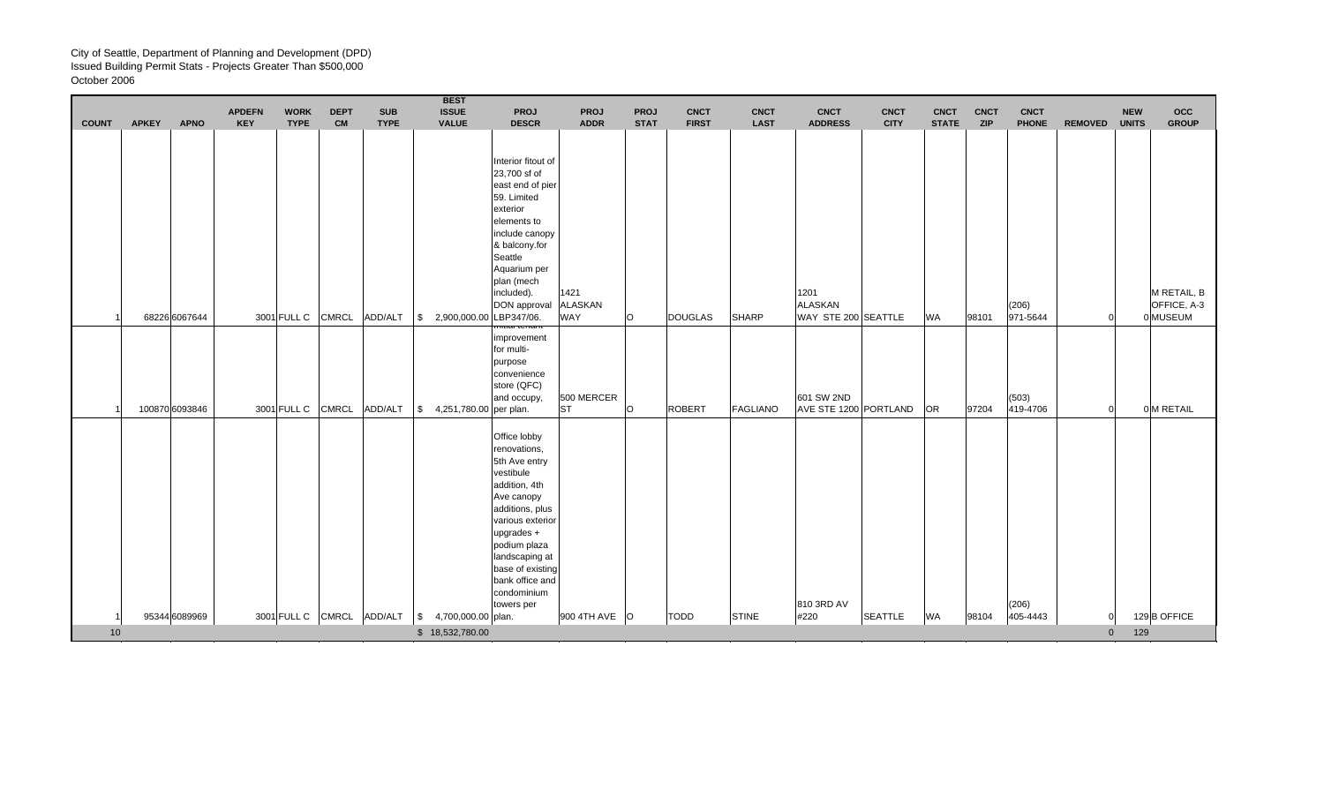$\blacksquare$ 

| <b>COUNT</b> | <b>APKEY</b> | <b>APNO</b>    | <b>APDEFN</b><br><b>KEY</b> | <b>WORK</b><br><b>TYPE</b> | <b>DEPT</b><br><b>CM</b> | <b>SUB</b><br><b>TYPE</b> | <b>BEST</b><br><b>ISSUE</b><br><b>VALUE</b>     | <b>PROJ</b><br><b>DESCR</b>                                                                                                                                                                                                                          | PROJ<br><b>ADDR</b> | <b>PROJ</b><br><b>STAT</b> | <b>CNCT</b><br><b>FIRST</b> | <b>CNCT</b><br><b>LAST</b> | <b>CNCT</b><br><b>ADDRESS</b>  | <b>CNCT</b><br><b>CITY</b> | <b>CNCT</b><br><b>STATE</b> | <b>CNCT</b><br><b>ZIP</b> | <b>CNCT</b><br><b>PHONE</b> | <b>REMOVED</b> | <b>NEW</b><br><b>UNITS</b> | <b>OCC</b><br><b>GROUP</b> |
|--------------|--------------|----------------|-----------------------------|----------------------------|--------------------------|---------------------------|-------------------------------------------------|------------------------------------------------------------------------------------------------------------------------------------------------------------------------------------------------------------------------------------------------------|---------------------|----------------------------|-----------------------------|----------------------------|--------------------------------|----------------------------|-----------------------------|---------------------------|-----------------------------|----------------|----------------------------|----------------------------|
|              |              |                |                             |                            |                          |                           |                                                 |                                                                                                                                                                                                                                                      |                     |                            |                             |                            |                                |                            |                             |                           |                             |                |                            |                            |
|              |              |                |                             |                            |                          |                           |                                                 | Interior fitout of<br>23,700 sf of<br>east end of pier<br>59. Limited<br>exterior<br>elements to<br>include canopy<br>& balcony.for<br>Seattle<br>Aquarium per<br>plan (mech<br>included).                                                           | 1421                |                            |                             |                            | 1201                           |                            |                             |                           |                             |                |                            | M RETAIL, B                |
|              |              | 68226 6067644  |                             | 3001 FULL C                | <b>CMRCL</b>             | ADD/ALT                   | \$2,900,000.00                                  | DON approval ALASKAN<br>LBP347/06.                                                                                                                                                                                                                   | <b>WAY</b>          | O                          | <b>DOUGLAS</b>              | SHARP                      | ALASKAN<br>WAY STE 200 SEATTLE |                            | <b>WA</b>                   | 98101                     | (206)<br>971-5644           |                |                            | OFFICE, A-3<br>0 MUSEUM    |
|              |              |                |                             |                            |                          |                           |                                                 | <del>muar tenam</del><br>improvement<br>for multi-<br>purpose<br>convenience<br>store (QFC)<br>and occupy,                                                                                                                                           | 500 MERCER          |                            |                             |                            | 601 SW 2ND                     |                            |                             |                           | (503)                       |                |                            |                            |
|              |              | 100870 6093846 |                             | 3001 FULL C                | <b>CMRCL</b>             | ADD/ALT                   | $\frac{1}{2}$ 4,251,780.00 per plan.            |                                                                                                                                                                                                                                                      | <b>ST</b>           | $\circ$                    | <b>ROBERT</b>               | FAGLIANO                   | AVE STE 1200 PORTLAND          |                            | <b>OR</b>                   | 97204                     | 419-4706                    |                |                            | 0 M RETAIL                 |
|              |              | 95344 6089969  |                             |                            |                          |                           | 3001 FULL C CMRCL ADD/ALT \$ 4,700,000.00 plan. | Office lobby<br>renovations,<br>5th Ave entry<br>vestibule<br>addition, 4th<br>Ave canopy<br>additions, plus<br>various exterior<br>upgrades +<br>podium plaza<br>landscaping at<br>base of existing<br>bank office and<br>condominium<br>towers per | 900 4TH AVE O       |                            | <b>TODD</b>                 | <b>STINE</b>               | 810 3RD AV<br>#220             | <b>SEATTLE</b>             | <b>WA</b>                   | 98104                     | (206)<br>405-4443           |                |                            | 129 B OFFICE               |
| 10           |              |                |                             |                            |                          |                           | \$18,532,780.00                                 |                                                                                                                                                                                                                                                      |                     |                            |                             |                            |                                |                            |                             |                           |                             | $\mathbf{0}$   | 129                        |                            |
|              |              |                |                             |                            |                          |                           |                                                 |                                                                                                                                                                                                                                                      |                     |                            |                             |                            |                                |                            |                             |                           |                             |                |                            |                            |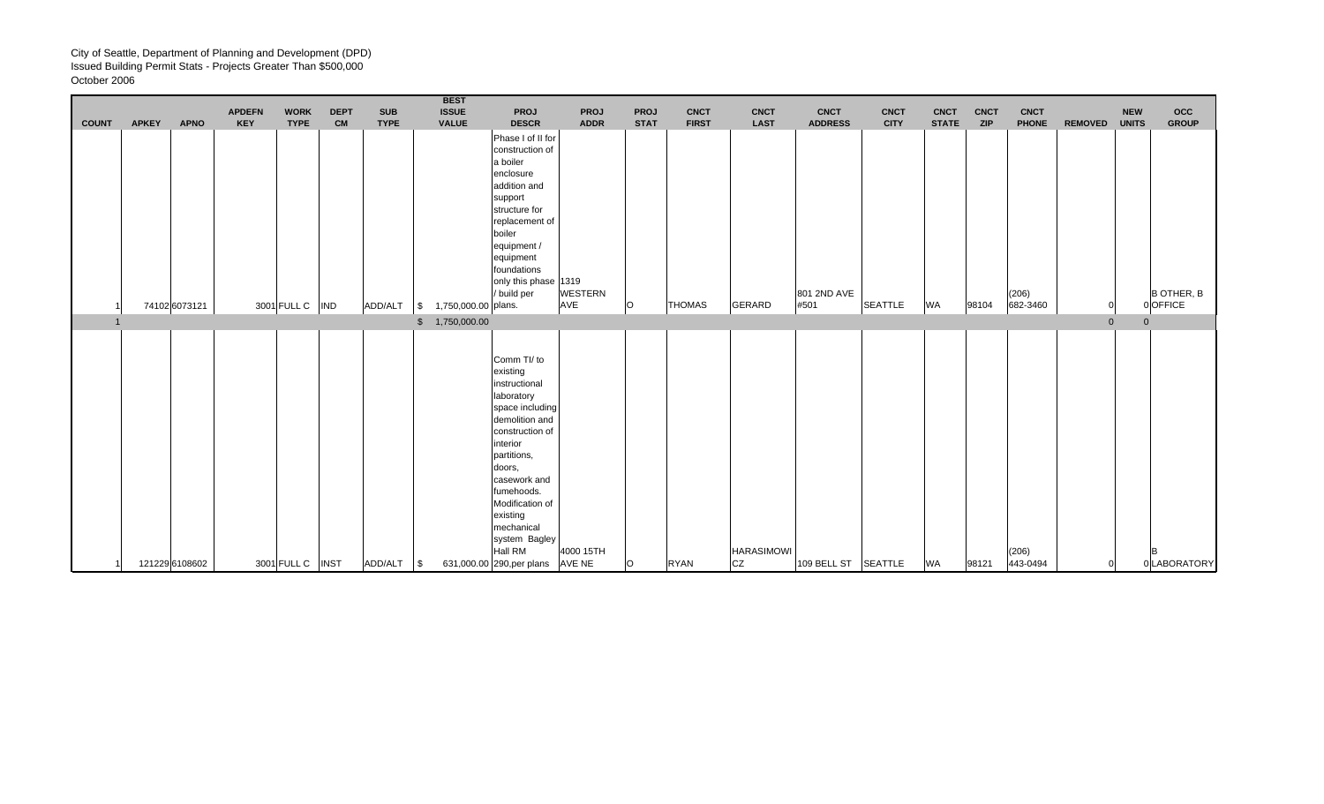|              |              |                | <b>APDEFN</b> | <b>WORK</b>       | <b>DEPT</b> | <b>SUB</b>  | <b>BEST</b><br><b>ISSUE</b>                          | PROJ                                                                                                                                                                                                                                                              | <b>PROJ</b>                   | PROJ        | <b>CNCT</b>   | <b>CNCT</b>       | <b>CNCT</b>                   | <b>CNCT</b>    | <b>CNCT</b>  | <b>CNCT</b> | <b>CNCT</b>           |                | <b>NEW</b>     | occ                               |
|--------------|--------------|----------------|---------------|-------------------|-------------|-------------|------------------------------------------------------|-------------------------------------------------------------------------------------------------------------------------------------------------------------------------------------------------------------------------------------------------------------------|-------------------------------|-------------|---------------|-------------------|-------------------------------|----------------|--------------|-------------|-----------------------|----------------|----------------|-----------------------------------|
| <b>COUNT</b> | <b>APKEY</b> | <b>APNO</b>    | <b>KEY</b>    | <b>TYPE</b>       | <b>CM</b>   | <b>TYPE</b> | <b>VALUE</b>                                         | <b>DESCR</b><br>Phase I of II for<br>construction of<br>a boiler<br>enclosure<br>addition and<br>support<br>structure for<br>replacement of<br>boiler<br>equipment /<br>equipment<br>foundations<br>only this phase 1319<br>/ build per                           | <b>ADDR</b><br><b>WESTERN</b> | <b>STAT</b> | <b>FIRST</b>  | <b>LAST</b>       | <b>ADDRESS</b><br>801 2ND AVE | <b>CITY</b>    | <b>STATE</b> | <b>ZIP</b>  | <b>PHONE</b><br>(206) | <b>REMOVED</b> | <b>UNITS</b>   | <b>GROUP</b><br><b>B OTHER, B</b> |
|              |              | 74102 6073121  |               | 3001 FULL C   IND |             | ADD/ALT     | 1,750,000.00 plans.<br>$\vert$ \$<br>\$ 1,750,000.00 |                                                                                                                                                                                                                                                                   | AVE                           | lo          | <b>THOMAS</b> | <b>GERARD</b>     | #501                          | <b>SEATTLE</b> | <b>WA</b>    | 98104       | 682-3460              | $\overline{0}$ | $\overline{0}$ | 0 OFFICE                          |
|              |              |                |               |                   |             |             |                                                      | Comm TI/ to<br>existing<br>instructional<br>laboratory<br>space including<br>demolition and<br>construction of<br>interior<br>partitions,<br>doors.<br>casework and<br>fumehoods.<br>Modification of<br>existing<br>mechanical<br>system Bagley<br><b>Hall RM</b> | 4000 15TH                     |             |               | <b>HARASIMOWI</b> |                               |                |              |             | (206)                 |                |                | B                                 |
|              |              | 121229 6108602 |               | 3001 FULL C INST  |             | ADD/ALT \\$ |                                                      | 631,000.00 290, per plans AVE NE                                                                                                                                                                                                                                  |                               | $\Omega$    | <b>RYAN</b>   | <b>CZ</b>         | 109 BELL ST SEATTLE           |                | WA           | 98121       | 443-0494              |                |                | 0 LABORATORY                      |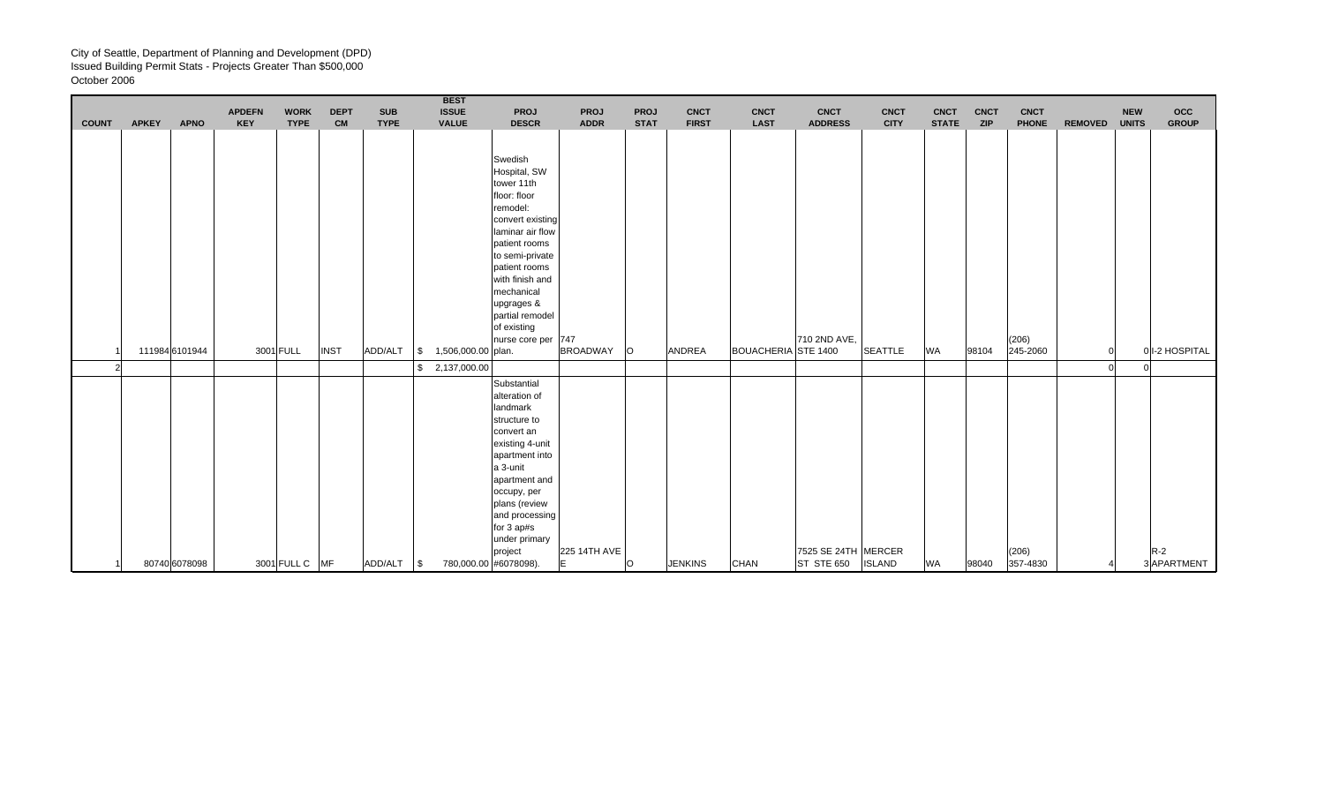| occ<br><b>NEW</b><br><b>GROUP</b><br><b>UNITS</b> |
|---------------------------------------------------|
|                                                   |
|                                                   |
|                                                   |
|                                                   |
|                                                   |
|                                                   |
|                                                   |
|                                                   |
|                                                   |
|                                                   |
|                                                   |
|                                                   |
|                                                   |
|                                                   |
|                                                   |
|                                                   |
| 01-2 HOSPITAL                                     |
|                                                   |
|                                                   |
|                                                   |
|                                                   |
|                                                   |
|                                                   |
|                                                   |
|                                                   |
|                                                   |
|                                                   |
|                                                   |
|                                                   |
|                                                   |
|                                                   |
| $R-2$<br>3 APARTMENT                              |
|                                                   |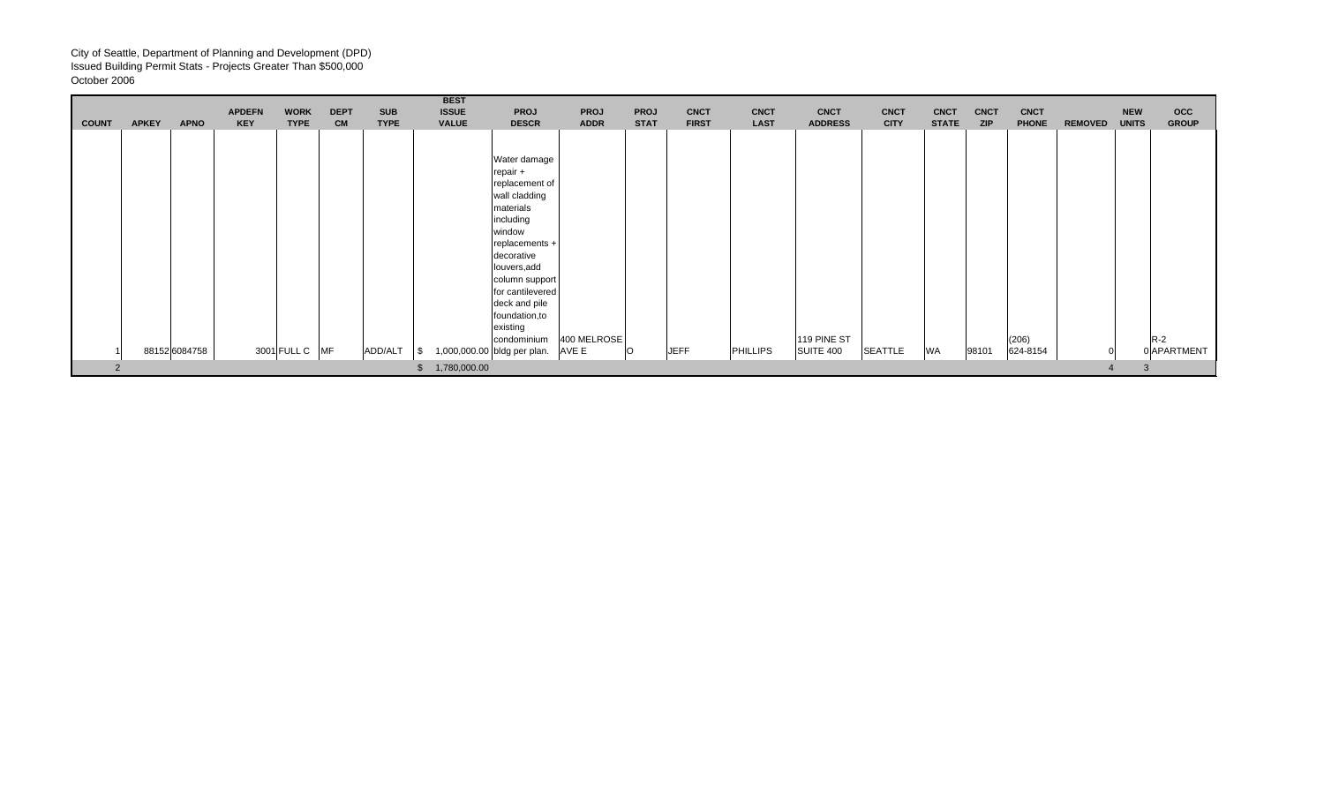| <b>COUNT</b> | <b>APKEY</b> | <b>APNO</b>   | <b>APDEFN</b><br><b>KEY</b> | <b>WORK</b><br><b>TYPE</b> | <b>DEPT</b><br><b>CM</b> | <b>SUB</b><br><b>TYPE</b> | <b>BEST</b><br><b>ISSUE</b><br><b>VALUE</b> | <b>PROJ</b><br><b>DESCR</b>                                                                                                                                                                                                                         | <b>PROJ</b><br><b>ADDR</b> | <b>PROJ</b><br><b>STAT</b> | <b>CNCT</b><br><b>FIRST</b> | <b>CNCT</b><br><b>LAST</b> | <b>CNCT</b><br><b>ADDRESS</b> | <b>CNCT</b><br><b>CITY</b> | <b>CNCT</b><br><b>STATE</b> | <b>CNCT</b><br><b>ZIP</b> | <b>CNCT</b><br><b>PHONE</b> | <b>REMOVED</b> | <b>NEW</b><br><b>UNITS</b> | $_{\rm occ}$<br><b>GROUP</b> |
|--------------|--------------|---------------|-----------------------------|----------------------------|--------------------------|---------------------------|---------------------------------------------|-----------------------------------------------------------------------------------------------------------------------------------------------------------------------------------------------------------------------------------------------------|----------------------------|----------------------------|-----------------------------|----------------------------|-------------------------------|----------------------------|-----------------------------|---------------------------|-----------------------------|----------------|----------------------------|------------------------------|
|              |              |               |                             |                            |                          |                           |                                             |                                                                                                                                                                                                                                                     |                            |                            |                             |                            |                               |                            |                             |                           |                             |                |                            |                              |
|              |              |               |                             |                            |                          |                           |                                             | Water damage<br>repair +<br>replacement of<br>wall cladding<br>materials<br>including<br>window<br>replacements +<br>decorative<br>louvers, add<br>column support<br>for cantilevered<br>deck and pile<br>foundation, to<br>existing<br>condominium | 400 MELROSE                |                            |                             |                            | 119 PINE ST                   |                            |                             |                           | (206)                       |                | $R-2$                      |                              |
|              |              | 88152 6084758 |                             | 3001 FULL C MF             |                          | ADD/ALT                   |                                             | 1,000,000.00 bldg per plan.                                                                                                                                                                                                                         | AVE E                      | lO.                        | <b>JEFF</b>                 | <b>PHILLIPS</b>            | SUITE 400                     | <b>SEATTLE</b>             | <b>WA</b>                   | 98101                     | 624-8154                    |                |                            | 0 APARTMENT                  |
|              |              |               |                             |                            |                          |                           | \$ 1,780,000.00                             |                                                                                                                                                                                                                                                     |                            |                            |                             |                            |                               |                            |                             |                           |                             |                |                            |                              |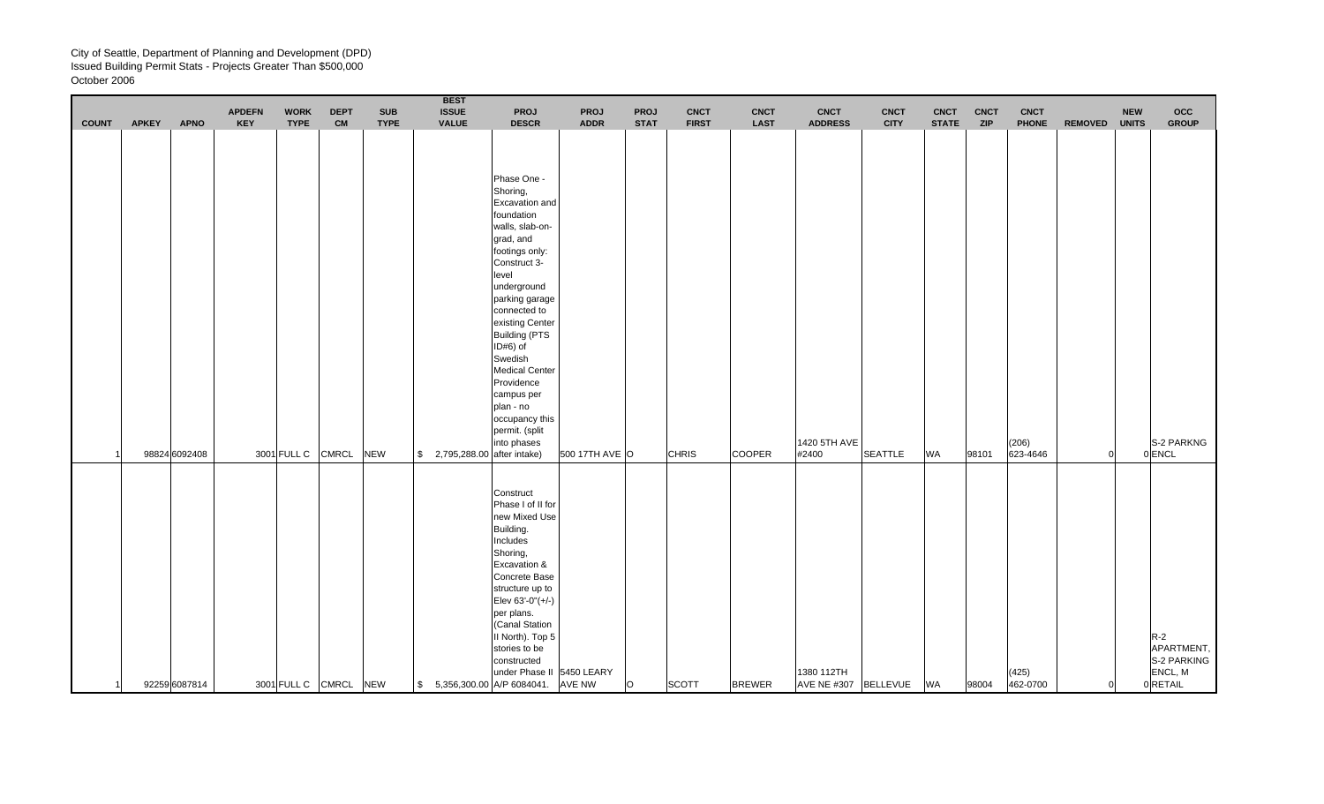|                |              |               | <b>APDEFN</b> | <b>WORK</b>       | <b>DEPT</b>  | <b>SUB</b>  | <b>BEST</b><br><b>ISSUE</b>             | <b>PROJ</b>                                                                                                                                                                                                                                                                                                                                                                | <b>PROJ</b>                                | <b>PROJ</b> | <b>CNCT</b>  | <b>CNCT</b>   | <b>CNCT</b>                        | <b>CNCT</b>    | <b>CNCT</b>  | <b>CNCT</b> | <b>CNCT</b>       |                | <b>NEW</b>   | occ                                                      |
|----------------|--------------|---------------|---------------|-------------------|--------------|-------------|-----------------------------------------|----------------------------------------------------------------------------------------------------------------------------------------------------------------------------------------------------------------------------------------------------------------------------------------------------------------------------------------------------------------------------|--------------------------------------------|-------------|--------------|---------------|------------------------------------|----------------|--------------|-------------|-------------------|----------------|--------------|----------------------------------------------------------|
| <b>COUNT</b>   | <b>APKEY</b> | <b>APNO</b>   | <b>KEY</b>    | <b>TYPE</b>       | <b>CM</b>    | <b>TYPE</b> | <b>VALUE</b>                            | <b>DESCR</b>                                                                                                                                                                                                                                                                                                                                                               | <b>ADDR</b>                                | <b>STAT</b> | <b>FIRST</b> | <b>LAST</b>   | <b>ADDRESS</b>                     | <b>CITY</b>    | <b>STATE</b> | <b>ZIP</b>  | <b>PHONE</b>      | <b>REMOVED</b> | <b>UNITS</b> | <b>GROUP</b>                                             |
|                |              | 98824 6092408 |               | 3001 FULL C       | <b>CMRCL</b> | <b>NEW</b>  | \$2,795,288.00 after intake)            | Phase One -<br>Shoring,<br>Excavation and<br>foundation<br>walls, slab-on-<br>grad, and<br>footings only:<br>Construct 3-<br>level<br>underground<br>parking garage<br>connected to<br>existing Center<br><b>Building (PTS</b><br>ID#6) of<br>Swedish<br><b>Medical Center</b><br>Providence<br>campus per<br>plan - no<br>occupancy this<br>permit. (split<br>into phases | 500 17TH AVE O                             |             | <b>CHRIS</b> | <b>COOPER</b> | 1420 5TH AVE<br>#2400              | <b>SEATTLE</b> | <b>WA</b>    | 98101       | (206)<br>623-4646 |                |              | S-2 PARKNG<br>0 ENCL                                     |
| $\overline{1}$ |              | 92259 6087814 |               | 3001 FULL C CMRCL |              | <b>NEW</b>  | $\frac{1}{2}$ 5,356,300.00 A/P 6084041. | Construct<br>Phase I of II for<br>new Mixed Use<br>Building.<br>Includes<br>Shoring,<br>Excavation &<br>Concrete Base<br>structure up to<br>Elev 63'-0"(+/-)<br>per plans.<br>(Canal Station<br>II North). Top 5<br>stories to be<br>constructed                                                                                                                           | under Phase II 5450 LEARY<br><b>AVE NW</b> | O           | <b>SCOTT</b> | <b>BREWER</b> | 1380 112TH<br>AVE NE #307 BELLEVUE |                | <b>WA</b>    | 98004       | (425)<br>462-0700 | $\Omega$       |              | $R-2$<br>APARTMENT,<br>S-2 PARKING<br>ENCL, M<br>0RETAIL |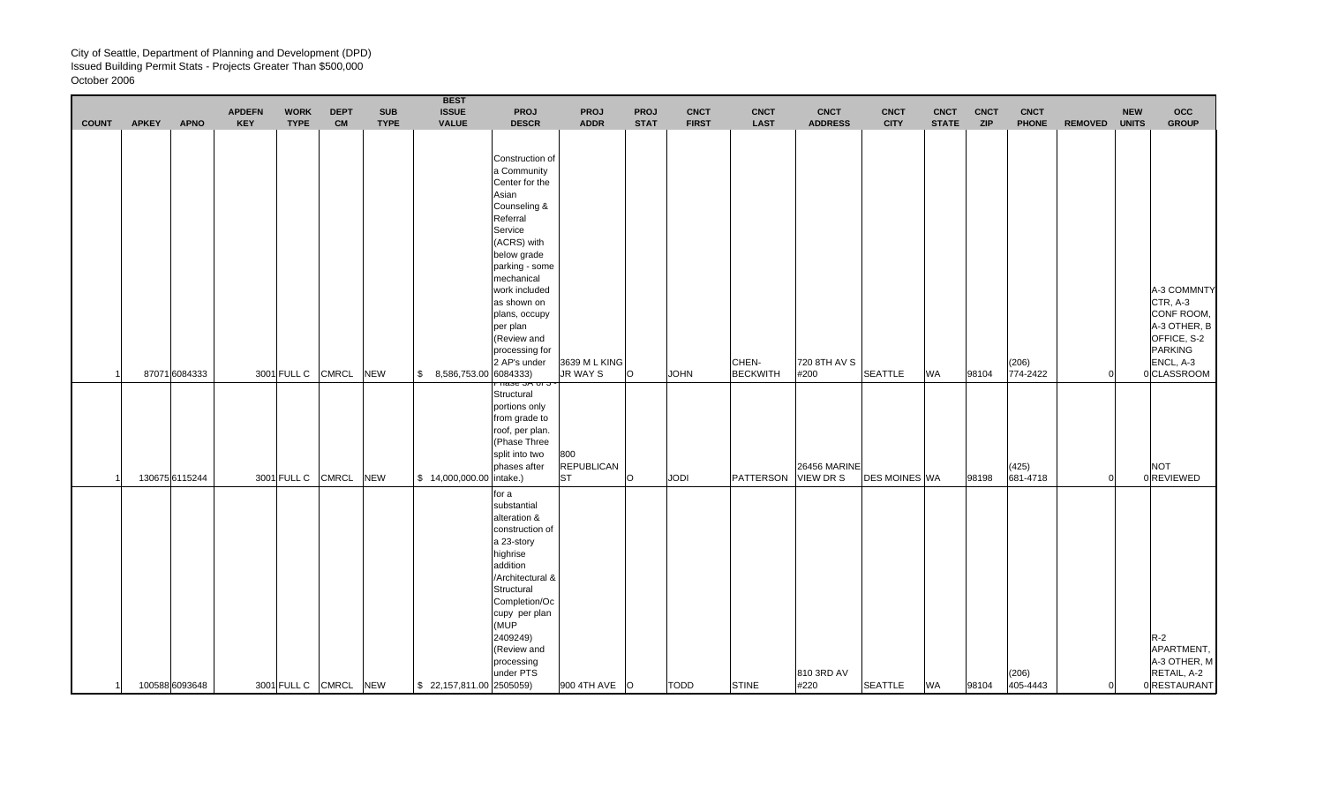|              |              |                | <b>APDEFN</b> | <b>WORK</b> | <b>DEPT</b>           | <b>SUB</b>  | <b>BEST</b><br><b>ISSUE</b>          | <b>PROJ</b>                                                                                                                                                                                                                                                                                                                                                                               | <b>PROJ</b>                           | <b>PROJ</b> | <b>CNCT</b>  | <b>CNCT</b>              | <b>CNCT</b>               | <b>CNCT</b>          | <b>CNCT</b>  | <b>CNCT</b> | <b>CNCT</b>       |                | <b>NEW</b>   | <b>OCC</b>                                                                                                         |
|--------------|--------------|----------------|---------------|-------------|-----------------------|-------------|--------------------------------------|-------------------------------------------------------------------------------------------------------------------------------------------------------------------------------------------------------------------------------------------------------------------------------------------------------------------------------------------------------------------------------------------|---------------------------------------|-------------|--------------|--------------------------|---------------------------|----------------------|--------------|-------------|-------------------|----------------|--------------|--------------------------------------------------------------------------------------------------------------------|
| <b>COUNT</b> | <b>APKEY</b> | <b>APNO</b>    | <b>KEY</b>    | <b>TYPE</b> | <b>CM</b>             | <b>TYPE</b> | <b>VALUE</b>                         | <b>DESCR</b>                                                                                                                                                                                                                                                                                                                                                                              | <b>ADDR</b>                           | <b>STAT</b> | <b>FIRST</b> | <b>LAST</b>              | <b>ADDRESS</b>            | <b>CITY</b>          | <b>STATE</b> | <b>ZIP</b>  | <b>PHONE</b>      | <b>REMOVED</b> | <b>UNITS</b> | <b>GROUP</b>                                                                                                       |
|              |              | 87071 6084333  |               | 3001 FULL C | <b>CMRCL</b>          | <b>NEW</b>  | \$8,586,753.00                       | Construction of<br>a Community<br>Center for the<br>Asian<br>Counseling &<br>Referral<br>Service<br>(ACRS) with<br>below grade<br>parking - some<br>mechanical<br>work included<br>as shown on<br>plans, occupy<br>per plan<br>(Review and<br>processing for<br>2 AP's under<br>6084333)<br>ਜਕੂ <del>ਤਰ ਹਨ ਹਾਂ ਹ</del><br>Structural<br>portions only<br>from grade to<br>roof, per plan. | 3639 M L KING<br>JR WAY S             | lo.         | <b>JOHN</b>  | CHEN-<br><b>BECKWITH</b> | 720 8TH AV S<br>#200      | <b>SEATTLE</b>       | <b>WA</b>    | 98104       | (206)<br>774-2422 | $\Omega$       |              | A-3 COMMNTY<br>CTR, A-3<br>CONF ROOM,<br>A-3 OTHER, B<br>OFFICE, S-2<br><b>PARKING</b><br>ENCL, A-3<br>0 CLASSROOM |
|              |              | 130675 6115244 |               | 3001 FULL C | <b>CMRCL</b>          | <b>NEW</b>  | \$14,000,000.00                      | (Phase Three<br>split into two<br>phases after<br>intake.)                                                                                                                                                                                                                                                                                                                                | 800<br><b>REPUBLICAN</b><br><b>ST</b> | $\circ$     | <b>JODI</b>  | PATTERSON                | 26456 MARINE<br>VIEW DR S | <b>DES MOINES WA</b> |              | 98198       | (425)<br>681-4718 | $\Omega$       |              | <b>NOT</b><br>0 REVIEWED                                                                                           |
| 11           |              | 100588 6093648 |               |             | 3001 FULL C CMRCL NEW |             | $\frac{1}{2}$ 22,157,811.00 2505059) | for a<br>substantial<br>alteration &<br>construction of<br>a 23-story<br>highrise<br>addition<br>/Architectural &<br>Structural<br>Completion/Oc<br>cupy per plan<br>(MUP<br>2409249)<br>(Review and<br>processing<br>under PTS                                                                                                                                                           | 900 4TH AVE O                         |             | <b>TODD</b>  | <b>STINE</b>             | 810 3RD AV<br>#220        | <b>SEATTLE</b>       | <b>WA</b>    | 98104       | (206)<br>405-4443 | $\Omega$       |              | $R-2$<br>APARTMENT,<br>A-3 OTHER, M<br>RETAIL, A-2<br>0 RESTAURANT                                                 |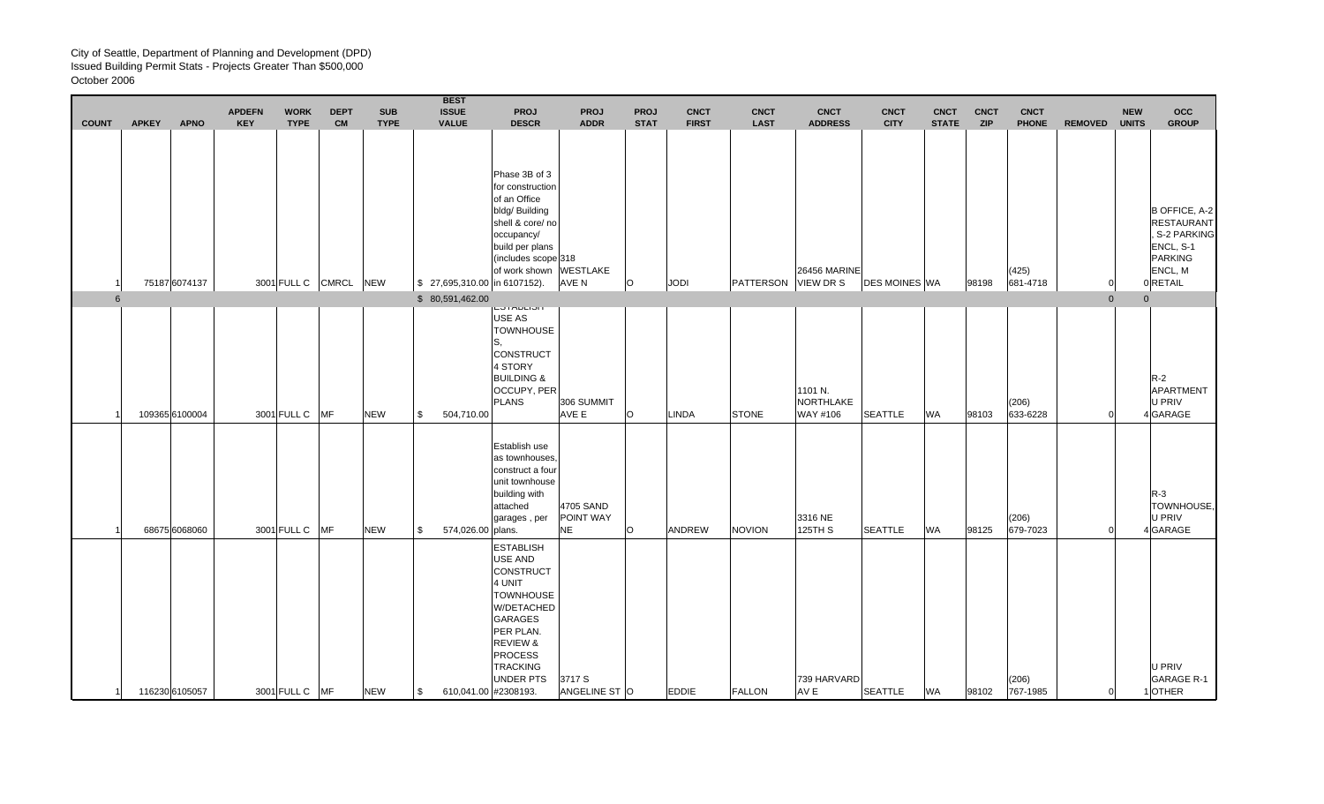| <b>COUNT</b>    | <b>APKEY</b> | <b>APNO</b>    | <b>APDEFN</b><br><b>KEY</b> | <b>WORK</b><br><b>TYPE</b> | <b>DEPT</b><br><b>CM</b> | <b>SUB</b><br><b>TYPE</b> | <b>BEST</b><br><b>ISSUE</b><br><b>VALUE</b> | <b>PROJ</b><br><b>DESCR</b>                                                                                                                                                                                                        | <b>PROJ</b><br><b>ADDR</b>          | <b>PROJ</b><br><b>STAT</b> | <b>CNCT</b><br><b>FIRST</b> | <b>CNCT</b><br><b>LAST</b> | <b>CNCT</b><br><b>ADDRESS</b>           | <b>CNCT</b><br><b>CITY</b> | <b>CNCT</b><br><b>STATE</b> | <b>CNCT</b><br><b>ZIP</b> | <b>CNCT</b><br><b>PHONE</b> | <b>REMOVED</b> | <b>NEW</b><br><b>UNITS</b> | <b>OCC</b><br><b>GROUP</b>                                                                                |
|-----------------|--------------|----------------|-----------------------------|----------------------------|--------------------------|---------------------------|---------------------------------------------|------------------------------------------------------------------------------------------------------------------------------------------------------------------------------------------------------------------------------------|-------------------------------------|----------------------------|-----------------------------|----------------------------|-----------------------------------------|----------------------------|-----------------------------|---------------------------|-----------------------------|----------------|----------------------------|-----------------------------------------------------------------------------------------------------------|
|                 |              | 75187 6074137  |                             | 3001 FULL C                | <b>CMRCL</b>             | <b>NEW</b>                |                                             | Phase 3B of 3<br>for construction<br>of an Office<br>bldg/ Building<br>shell & core/ no<br>occupancy/<br>build per plans<br>(includes scope 318<br>of work shown WESTLAKE<br>\$27,695,310.00 in 6107152).                          | AVE N                               | $\circ$                    | JODI                        | PATTERSON                  | <b>26456 MARINE</b><br><b>VIEW DR S</b> | <b>DES MOINES WA</b>       |                             | 98198                     | (425)<br>681-4718           |                |                            | <b>B OFFICE, A-2</b><br><b>RESTAURANT</b><br>. S-2 PARKING<br>ENCL, S-1<br>PARKING<br>ENCL, M<br>0 RETAIL |
| $6\overline{6}$ |              |                |                             |                            |                          |                           | \$80,591,462.00                             | <b>יטוחטרוטו</b>                                                                                                                                                                                                                   |                                     |                            |                             |                            |                                         |                            |                             |                           |                             | $\overline{0}$ |                            | $\mathbf{0}$                                                                                              |
|                 |              | 109365 6100004 |                             | 3001 FULL C                | <b>MF</b>                | <b>NEW</b>                | \$<br>504,710.00                            | USE AS<br><b>TOWNHOUSE</b><br>S.<br><b>CONSTRUCT</b><br>4 STORY<br><b>BUILDING &amp;</b><br><b>OCCUPY, PER</b><br><b>PLANS</b>                                                                                                     | 306 SUMMIT<br>AVE E                 | $\circ$                    | <b>LINDA</b>                | <b>STONE</b>               | 1101 N.<br><b>NORTHLAKE</b><br>WAY #106 | <b>SEATTLE</b>             | WA                          | 98103                     | (206)<br>633-6228           | $\Omega$       |                            | $R-2$<br>APARTMENT<br>U PRIV<br>4 GARAGE                                                                  |
|                 |              | 68675 6068060  |                             | 3001 FULL C                | <b>MF</b>                | <b>NEW</b>                | \$<br>574,026.00 plans.                     | Establish use<br>as townhouses,<br>construct a four<br>unit townhouse<br>building with<br>attached<br>garages, per                                                                                                                 | 4705 SAND<br>POINT WAY<br><b>NE</b> | $\circ$                    | ANDREW                      | <b>NOVION</b>              | 3316 NE<br>125TH S                      | <b>SEATTLE</b>             | WA                          | 98125                     | (206)<br>679-7023           |                |                            | $R-3$<br>TOWNHOUSE.<br>U PRIV<br>4GARAGE                                                                  |
| -11             |              | 116230 6105057 |                             | 3001 FULL C                | <b>IMF</b>               | <b>NEW</b>                | \$                                          | <b>ESTABLISH</b><br>USE AND<br><b>CONSTRUCT</b><br>4 UNIT<br><b>TOWNHOUSE</b><br>W/DETACHED<br><b>GARAGES</b><br>PER PLAN.<br><b>REVIEW &amp;</b><br><b>PROCESS</b><br><b>TRACKING</b><br><b>UNDER PTS</b><br>610,041.00 #2308193. | 3717 S<br>ANGELINE ST O             |                            | <b>EDDIE</b>                | <b>FALLON</b>              | 739 HARVARD<br>AV E                     | <b>SEATTLE</b>             | <b>WA</b>                   | 98102                     | (206)<br>767-1985           | $\Omega$       |                            | <b>U PRIV</b><br><b>GARAGE R-1</b><br>1OTHER                                                              |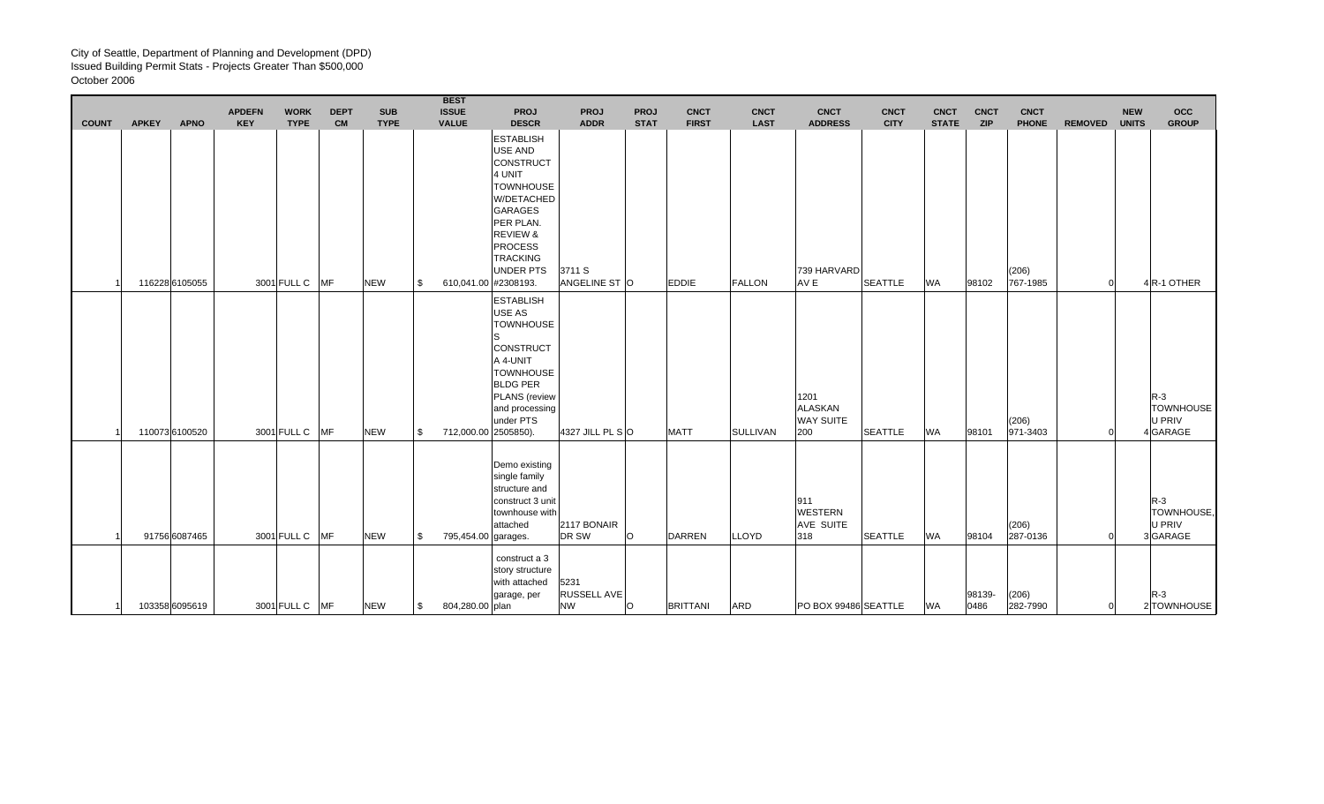|              |              |                | <b>APDEFN</b> | <b>WORK</b>    | <b>DEPT</b> | <b>SUB</b>  |      | <b>BEST</b><br><b>ISSUE</b> | <b>PROJ</b>                                                                                                                                                                                         | <b>PROJ</b>                      | <b>PROJ</b> | <b>CNCT</b>     | <b>CNCT</b>     | <b>CNCT</b>                                       | <b>CNCT</b>    | <b>CNCT</b>  | <b>CNCT</b>    | <b>CNCT</b>       |                | <b>NEW</b>   | $_{\rm occ}$                                    |
|--------------|--------------|----------------|---------------|----------------|-------------|-------------|------|-----------------------------|-----------------------------------------------------------------------------------------------------------------------------------------------------------------------------------------------------|----------------------------------|-------------|-----------------|-----------------|---------------------------------------------------|----------------|--------------|----------------|-------------------|----------------|--------------|-------------------------------------------------|
| <b>COUNT</b> | <b>APKEY</b> | <b>APNO</b>    | <b>KEY</b>    | <b>TYPE</b>    | <b>CM</b>   | <b>TYPE</b> |      | <b>VALUE</b>                | <b>DESCR</b>                                                                                                                                                                                        | <b>ADDR</b>                      | <b>STAT</b> | <b>FIRST</b>    | <b>LAST</b>     | <b>ADDRESS</b>                                    | <b>CITY</b>    | <b>STATE</b> | <b>ZIP</b>     | <b>PHONE</b>      | <b>REMOVED</b> | <b>UNITS</b> | <b>GROUP</b>                                    |
|              |              | 116228 6105055 |               | 3001 FULL C MF |             | <b>NEW</b>  | l \$ | 610,041.00 #2308193.        | <b>ESTABLISH</b><br>USE AND<br><b>CONSTRUCT</b><br>4 UNIT<br><b>TOWNHOUSE</b><br>W/DETACHED<br><b>GARAGES</b><br>PER PLAN.<br><b>REVIEW &amp;</b><br><b>PROCESS</b><br><b>TRACKING</b><br>UNDER PTS | 3711 S<br>ANGELINE ST O          |             | <b>EDDIE</b>    | <b>FALLON</b>   | 739 HARVARD<br>AV E                               | <b>SEATTLE</b> | <b>WA</b>    | 98102          | (206)<br>767-1985 |                |              | 4R-1 OTHER                                      |
|              |              | 110073 6100520 |               | 3001 FULL C    | MF          | <b>NEW</b>  | \$   | 712,000.00 2505850).        | <b>ESTABLISH</b><br>USE AS<br><b>TOWNHOUSE</b><br><b>CONSTRUCT</b><br>A 4-UNIT<br><b>TOWNHOUSE</b><br><b>BLDG PER</b><br>PLANS (review<br>and processing<br>under PTS                               | 4327 JILL PL SO                  |             | <b>MATT</b>     | <b>SULLIVAN</b> | 1201<br><b>ALASKAN</b><br><b>WAY SUITE</b><br>200 | <b>SEATTLE</b> | <b>WA</b>    | 98101          | (206)<br>971-3403 |                |              | $R-3$<br><b>TOWNHOUSE</b><br>U PRIV<br>4 GARAGE |
|              |              | 91756 6087465  |               | 3001 FULL C    | <b>MF</b>   | <b>NEW</b>  | l \$ | 795,454.00 garages.         | Demo existing<br>single family<br>structure and<br>construct 3 unit<br>townhouse with<br>attached                                                                                                   | 2117 BONAIR<br>DR SW             | $\circ$     | DARREN          | <b>LLOYD</b>    | 911<br><b>WESTERN</b><br>AVE SUITE<br>318         | <b>SEATTLE</b> | <b>WA</b>    | 98104          | (206)<br>287-0136 |                |              | $R-3$<br>TOWNHOUSE,<br>U PRIV<br>3GARAGE        |
|              |              | 103358 6095619 |               | 3001 FULL C MF |             | <b>NEW</b>  | l \$ | 804,280.00 plan             | construct a 3<br>story structure<br>with attached<br>garage, per                                                                                                                                    | 5231<br>RUSSELL AVE<br><b>NW</b> | $\circ$     | <b>BRITTANI</b> | ARD             | PO BOX 99486 SEATTLE                              |                | <b>WA</b>    | 98139-<br>0486 | (206)<br>282-7990 |                |              | $R-3$<br>2 TOWNHOUSE                            |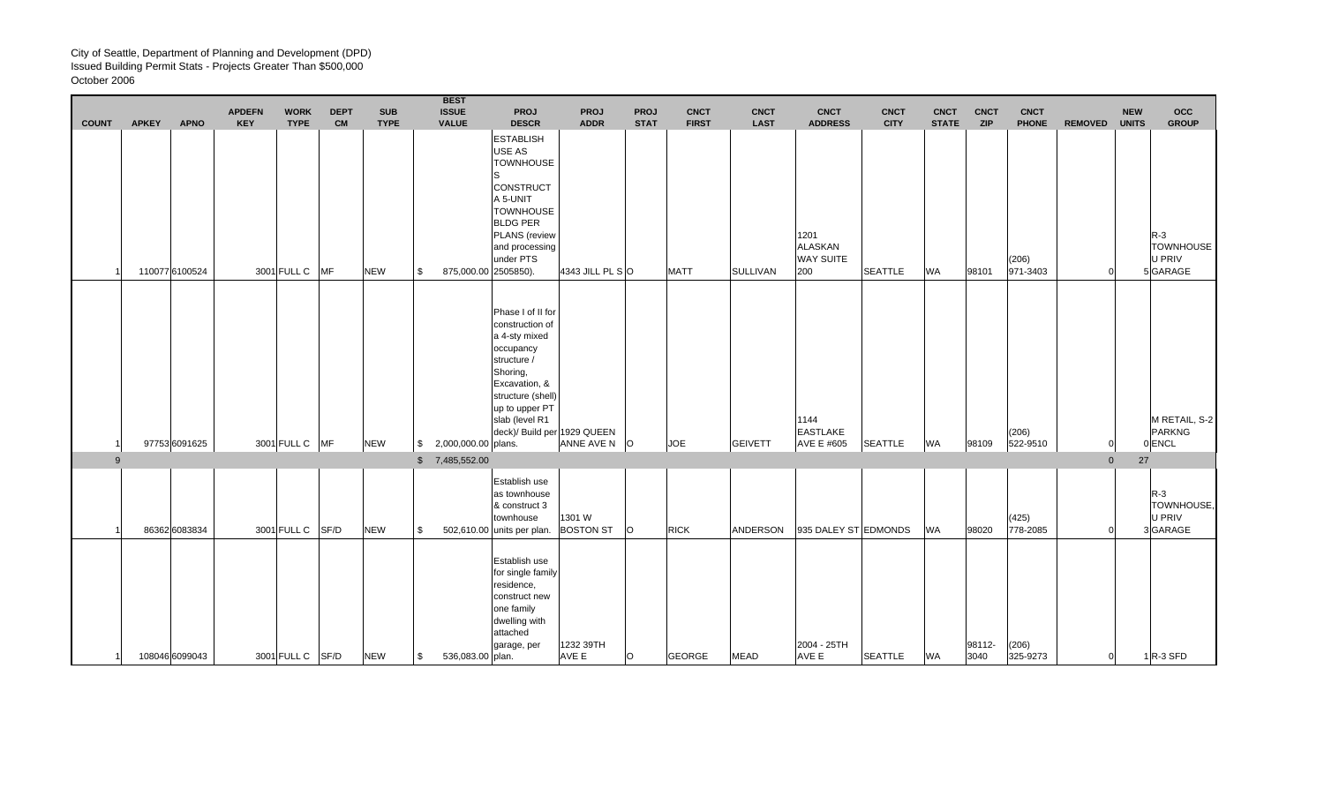|              |              |                               | <b>APDEFN</b> | <b>WORK</b>                   | <b>DEPT</b> | <b>SUB</b>                |           | <b>BEST</b><br><b>ISSUE</b>          | PROJ                                                                                                                                                                                                   | <b>PROJ</b>                    | <b>PROJ</b> | <b>CNCT</b>                 | <b>CNCT</b>                    | <b>CNCT</b>                                                         | <b>CNCT</b>                   | <b>CNCT</b>               | <b>CNCT</b><br><b>ZIP</b> | <b>CNCT</b>                       |                | <b>NEW</b>   | <b>OCC</b>                                                     |
|--------------|--------------|-------------------------------|---------------|-------------------------------|-------------|---------------------------|-----------|--------------------------------------|--------------------------------------------------------------------------------------------------------------------------------------------------------------------------------------------------------|--------------------------------|-------------|-----------------------------|--------------------------------|---------------------------------------------------------------------|-------------------------------|---------------------------|---------------------------|-----------------------------------|----------------|--------------|----------------------------------------------------------------|
| <b>COUNT</b> | <b>APKEY</b> | <b>APNO</b><br>110077 6100524 | <b>KEY</b>    | <b>TYPE</b><br>3001 FULL C MF | <b>CM</b>   | <b>TYPE</b><br><b>NEW</b> | l \$      | <b>VALUE</b><br>875,000.00 2505850). | <b>DESCR</b><br><b>ESTABLISH</b><br>USE AS<br><b>TOWNHOUSE</b><br><b>CONSTRUCT</b><br>A 5-UNIT<br><b>TOWNHOUSE</b><br><b>BLDG PER</b><br><b>PLANS</b> (review<br>and processing<br>under PTS           | <b>ADDR</b><br>4343 JILL PL SO | <b>STAT</b> | <b>FIRST</b><br><b>MATT</b> | <b>LAST</b><br><b>SULLIVAN</b> | <b>ADDRESS</b><br>1201<br><b>ALASKAN</b><br><b>WAY SUITE</b><br>200 | <b>CITY</b><br><b>SEATTLE</b> | <b>STATE</b><br><b>WA</b> | 98101                     | <b>PHONE</b><br>(206)<br>971-3403 | <b>REMOVED</b> | <b>UNITS</b> | <b>GROUP</b><br>$R-3$<br><b>TOWNHOUSE</b><br>U PRIV<br>5GARAGE |
|              |              | 97753 6091625                 |               | 3001 FULL C MF                |             | <b>NEW</b>                |           | $$2,000,000.00$ plans.               | Phase I of II for<br>construction of<br>a 4-sty mixed<br>occupancy<br>structure /<br>Shoring,<br>Excavation, &<br>structure (shell)<br>up to upper PT<br>slab (level R1<br>deck)/ Build per 1929 QUEEN | ANNE AVE N O                   |             | <b>JOE</b>                  | <b>GEIVETT</b>                 | 1144<br><b>EASTLAKE</b><br>AVE E #605                               | <b>SEATTLE</b>                | <b>WA</b>                 | 98109                     | (206)<br>522-9510                 |                |              | M RETAIL, S-2<br>PARKNG<br>0 ENCL                              |
| 9            |              |                               |               |                               |             |                           |           | \$7,485,552.00                       |                                                                                                                                                                                                        |                                |             |                             |                                |                                                                     |                               |                           |                           |                                   | $\overline{0}$ | 27           |                                                                |
|              |              | 86362 6083834                 |               | 3001 FULL C SF/D              |             | <b>NEW</b>                | \$        |                                      | Establish use<br>as townhouse<br>& construct 3<br>townhouse<br>502,610.00 units per plan. BOSTON ST                                                                                                    | 1301 W                         | lO.         | <b>RICK</b>                 | ANDERSON                       | 935 DALEY ST EDMONDS                                                |                               | <b>WA</b>                 | 98020                     | (425)<br>778-2085                 |                |              | $R-3$<br>TOWNHOUSE,<br><b>U PRIV</b><br>3GARAGE                |
| 11           |              | 108046 6099043                |               | 3001 FULL C SF/D              |             | <b>NEW</b>                | <b>\$</b> | 536,083.00 plan.                     | Establish use<br>for single family<br>residence,<br>construct new<br>one family<br>dwelling with<br>attached<br>garage, per                                                                            | 1232 39TH<br>AVE E             | O           | <b>GEORGE</b>               | <b>MEAD</b>                    | 2004 - 25TH<br>AVE E                                                | <b>SEATTLE</b>                | <b>WA</b>                 | 98112-<br>3040            | (206)<br>325-9273                 | $\overline{0}$ |              | $1$ R-3 SFD                                                    |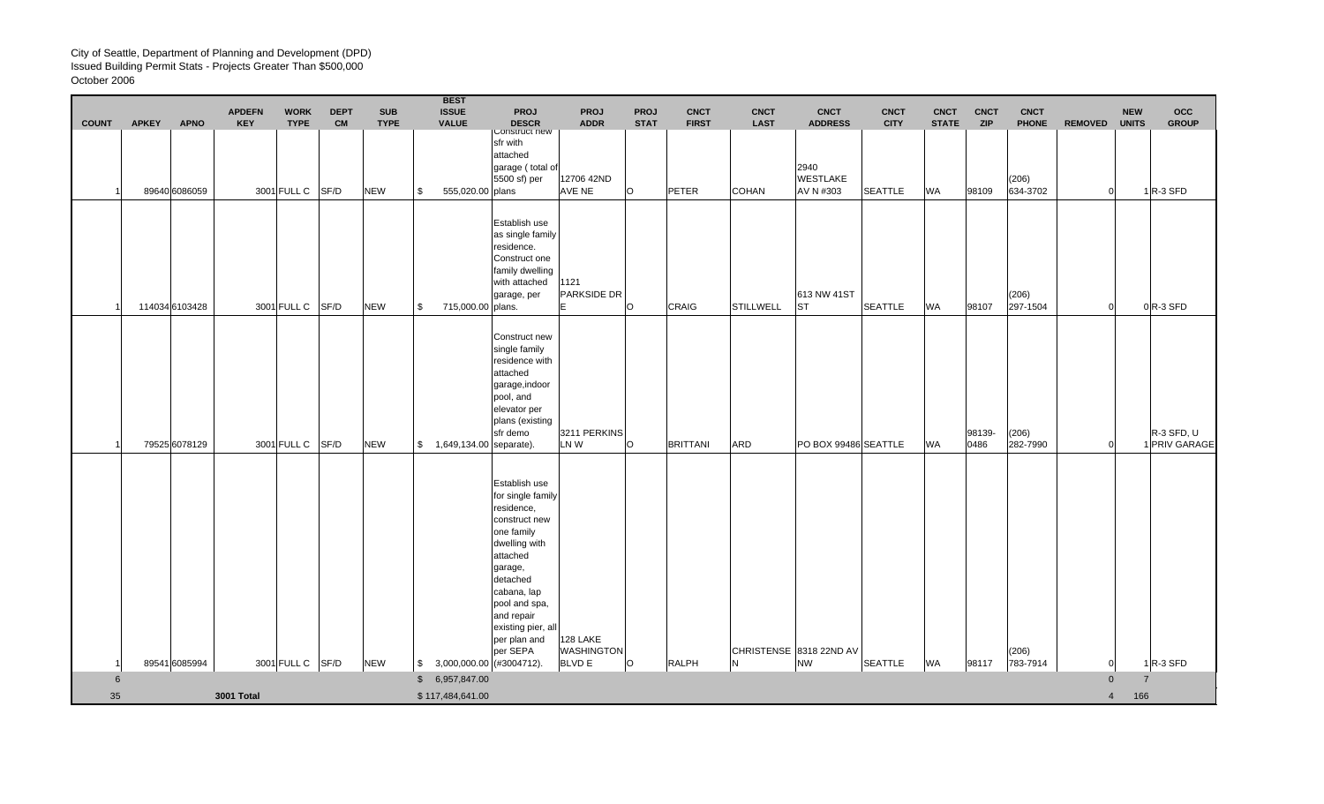| <b>COUNT</b> | <b>APKEY</b> | <b>APNO</b>    | <b>APDEFN</b><br><b>KEY</b> | <b>WORK</b><br><b>TYPE</b> | <b>DEPT</b><br><b>CM</b> | <b>SUB</b><br><b>TYPE</b> | <b>BEST</b><br><b>ISSUE</b><br><b>VALUE</b> | <b>PROJ</b><br><b>DESCR</b>                                                                                                                                                                                                         | <b>PROJ</b><br><b>ADDR</b>                     | <b>PROJ</b><br><b>STAT</b> | <b>CNCT</b><br><b>FIRST</b> | <b>CNCT</b><br><b>LAST</b> | <b>CNCT</b><br><b>ADDRESS</b>        | <b>CNCT</b><br><b>CITY</b> | <b>CNCT</b><br><b>STATE</b> | <b>CNCT</b><br><b>ZIP</b> | <b>CNCT</b><br><b>PHONE</b> | <b>REMOVED</b> | <b>NEW</b><br><b>UNITS</b> | occ<br><b>GROUP</b>         |
|--------------|--------------|----------------|-----------------------------|----------------------------|--------------------------|---------------------------|---------------------------------------------|-------------------------------------------------------------------------------------------------------------------------------------------------------------------------------------------------------------------------------------|------------------------------------------------|----------------------------|-----------------------------|----------------------------|--------------------------------------|----------------------------|-----------------------------|---------------------------|-----------------------------|----------------|----------------------------|-----------------------------|
|              |              | 89640 6086059  |                             | 3001 FULL C SF/D           |                          | <b>NEW</b>                | \$<br>555,020.00 plans                      | <b>LONSTRUCT NEW</b><br>sfr with<br>attached<br>garage (total of<br>5500 sf) per                                                                                                                                                    | 12706 42ND<br>AVE NE                           | O                          | PETER                       | COHAN                      | 2940<br><b>WESTLAKE</b><br>AV N #303 | <b>SEATTLE</b>             | <b>WA</b>                   | 98109                     | (206)<br>634-3702           | $\Omega$       |                            | $1R-3$ SFD                  |
|              |              | 114034 6103428 |                             | 3001 FULL C SF/D           |                          | <b>NEW</b>                | \$<br>715,000.00 plans.                     | Establish use<br>as single family<br>residence.<br>Construct one<br>family dwelling<br>with attached<br>garage, per                                                                                                                 | 1121<br>PARKSIDE DR<br>lE.                     | O                          | CRAIG                       | <b>STILLWELL</b>           | 613 NW 41ST<br><b>ST</b>             | <b>SEATTLE</b>             | <b>WA</b>                   | 98107                     | (206)<br>297-1504           | $\Omega$       |                            | $0$ <sub>R-3</sub> SFD      |
|              |              | 79525 6078129  |                             | 3001 FULL C                | SF/D                     | <b>NEW</b>                | \$ 1,649,134.00 separate).                  | Construct new<br>single family<br>residence with<br>attached<br>garage, indoor<br>pool, and<br>elevator per<br>plans (existing<br>sfr demo                                                                                          | 3211 PERKINS<br>LN W                           | $\circ$                    | <b>BRITTANI</b>             | ARD                        | PO BOX 99486 SEATTLE                 |                            | <b>WA</b>                   | 98139-<br>0486            | (206)<br>282-7990           |                |                            | R-3 SFD, U<br>1 PRIV GARAGE |
|              |              | 89541 6085994  |                             | 3001 FULL C SF/D           |                          | <b>NEW</b>                | $$3,000,000.00$ (#3004712).                 | Establish use<br>for single family<br>residence,<br>construct new<br>one family<br>dwelling with<br>attached<br>garage,<br>detached<br>cabana, lap<br>pool and spa,<br>and repair<br>existing pier, all<br>per plan and<br>per SEPA | 128 LAKE<br><b>WASHINGTON</b><br><b>BLVD E</b> | O                          | <b>RALPH</b>                | N                          | CHRISTENSE 8318 22ND AV<br><b>NW</b> | <b>SEATTLE</b>             | <b>WA</b>                   | 98117                     | (206)<br>783-7914           |                |                            | $1$ <sub>R-3</sub> SFD      |
| 6            |              |                |                             |                            |                          |                           | \$6,957,847.00                              |                                                                                                                                                                                                                                     |                                                |                            |                             |                            |                                      |                            |                             |                           |                             | $\Omega$       | $\overline{7}$             |                             |
| 35           |              |                | 3001 Total                  |                            |                          |                           | \$117,484,641.00                            |                                                                                                                                                                                                                                     |                                                |                            |                             |                            |                                      |                            |                             |                           |                             | $\overline{4}$ | 166                        |                             |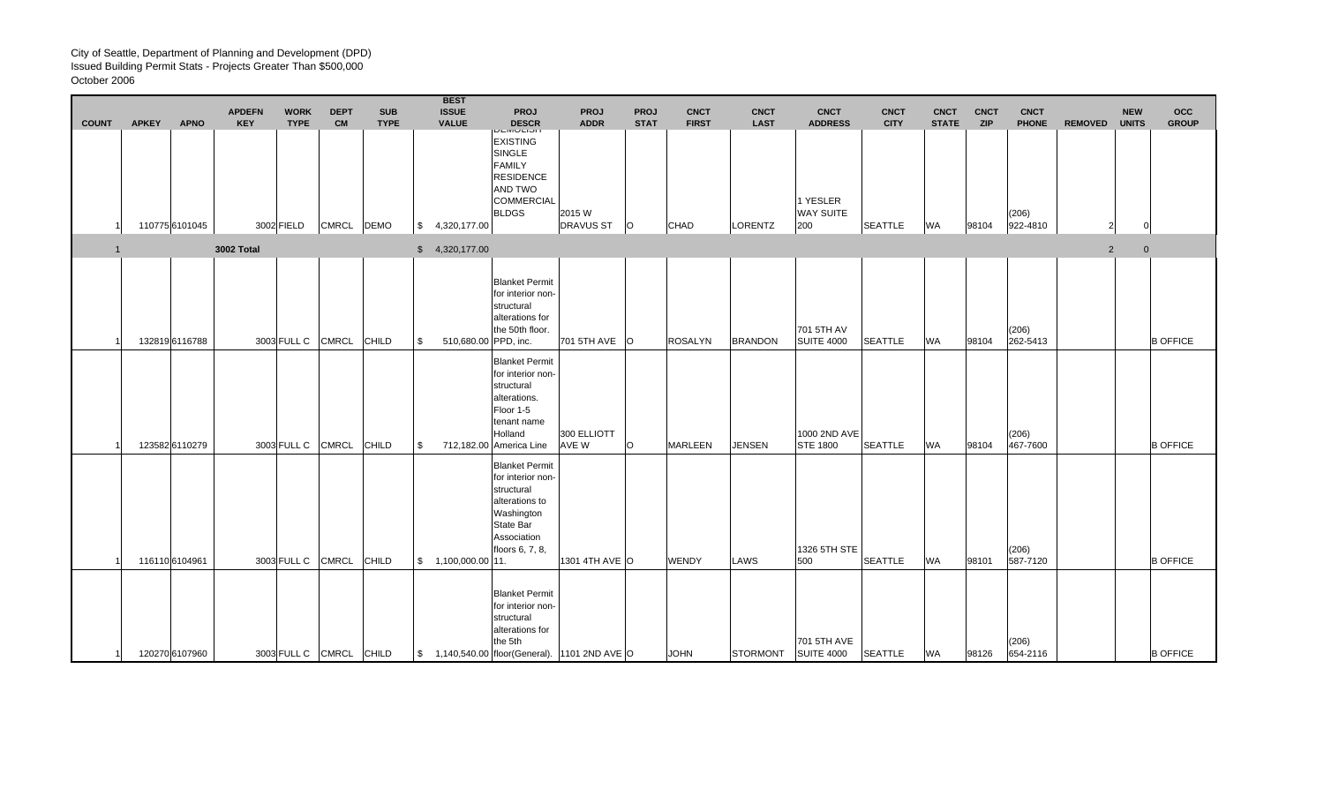|                |                |             | <b>APDEFN</b> | <b>WORK</b> | <b>DEPT</b>       | <b>SUB</b>   | <b>BEST</b><br><b>ISSUE</b> | <b>PROJ</b>                                                                                                                                | <b>PROJ</b>                | <b>PROJ</b> | <b>CNCT</b>    | <b>CNCT</b>     | <b>CNCT</b>                      | <b>CNCT</b>    | <b>CNCT</b>  | <b>CNCT</b> | <b>CNCT</b>       |                | <b>NEW</b>   | <b>OCC</b>      |
|----------------|----------------|-------------|---------------|-------------|-------------------|--------------|-----------------------------|--------------------------------------------------------------------------------------------------------------------------------------------|----------------------------|-------------|----------------|-----------------|----------------------------------|----------------|--------------|-------------|-------------------|----------------|--------------|-----------------|
| <b>COUNT</b>   | <b>APKEY</b>   | <b>APNO</b> | <b>KEY</b>    | <b>TYPE</b> | <b>CM</b>         | <b>TYPE</b>  | <b>VALUE</b>                | <b>DESCR</b>                                                                                                                               | <b>ADDR</b>                | <b>STAT</b> | <b>FIRST</b>   | <b>LAST</b>     | <b>ADDRESS</b>                   | <b>CITY</b>    | <b>STATE</b> | <b>ZIP</b>  | <b>PHONE</b>      | <b>REMOVED</b> | <b>UNITS</b> | <b>GROUP</b>    |
|                | 110775 6101045 |             |               | 3002 FIELD  | <b>CMRCL</b>      | <b>DEMO</b>  | \$4,320,177.00              | <b>DLIVIULIUI</b><br><b>EXISTING</b><br>SINGLE<br><b>FAMILY</b><br><b>RESIDENCE</b><br>AND TWO<br><b>COMMERCIAL</b><br><b>BLDGS</b>        | 2015 W<br><b>DRAVUS ST</b> | lO.         | <b>CHAD</b>    | LORENTZ         | 1 YESLER<br>WAY SUITE<br>200     | <b>SEATTLE</b> | <b>WA</b>    | 98104       | (206)<br>922-4810 |                |              |                 |
| $\overline{1}$ |                |             | 3002 Total    |             |                   |              | \$4,320,177.00              |                                                                                                                                            |                            |             |                |                 |                                  |                |              |             |                   | $\overline{2}$ | $\mathbf 0$  |                 |
|                | 132819 6116788 |             |               |             | 3003 FULL C CMRCL | <b>CHILD</b> | \$<br>510,680.00 PPD, inc.  | <b>Blanket Permit</b><br>for interior non-<br>structural<br>alterations for<br>the 50th floor.                                             | 701 5TH AVE                | lO.         | <b>ROSALYN</b> | <b>BRANDON</b>  | 701 5TH AV<br><b>SUITE 4000</b>  | <b>SEATTLE</b> | <b>WA</b>    | 98104       | (206)<br>262-5413 |                |              | <b>B OFFICE</b> |
|                | 123582 6110279 |             |               | 3003 FULL C | <b>CMRCL</b>      | <b>CHILD</b> | \$                          | <b>Blanket Permit</b><br>for interior non-<br>structural<br>alterations.<br>Floor 1-5<br>tenant name<br>Holland<br>712,182.00 America Line | 300 ELLIOTT<br>AVE W       | $\circ$     | <b>MARLEEN</b> | <b>JENSEN</b>   | 1000 2ND AVE<br><b>STE 1800</b>  | <b>SEATTLE</b> | <b>WA</b>    | 98104       | (206)<br>467-7600 |                |              | <b>B OFFICE</b> |
|                | 116110 6104961 |             |               | 3003 FULL C | <b>CMRCL</b>      | <b>CHILD</b> | \$1,100,000.00 11.          | <b>Blanket Permit</b><br>for interior non-<br>structural<br>alterations to<br>Washington<br>State Bar<br>Association<br>floors 6, 7, 8,    | 1301 4TH AVE O             |             | <b>WENDY</b>   | LAWS            | 1326 5TH STE<br>500              | <b>SEATTLE</b> | <b>WA</b>    | 98101       | (206)<br>587-7120 |                |              | <b>B OFFICE</b> |
| -11            | 120270 6107960 |             |               |             | 3003 FULL C CMRCL | <b>CHILD</b> |                             | <b>Blanket Permit</b><br>for interior non-<br>structural<br>alterations for<br>the 5th<br>\$1,140,540.00 floor(General). 1101 2ND AVE O    |                            |             | <b>JOHN</b>    | <b>STORMONT</b> | 701 5TH AVE<br><b>SUITE 4000</b> | <b>SEATTLE</b> | <b>WA</b>    | 98126       | (206)<br>654-2116 |                |              | <b>B OFFICE</b> |